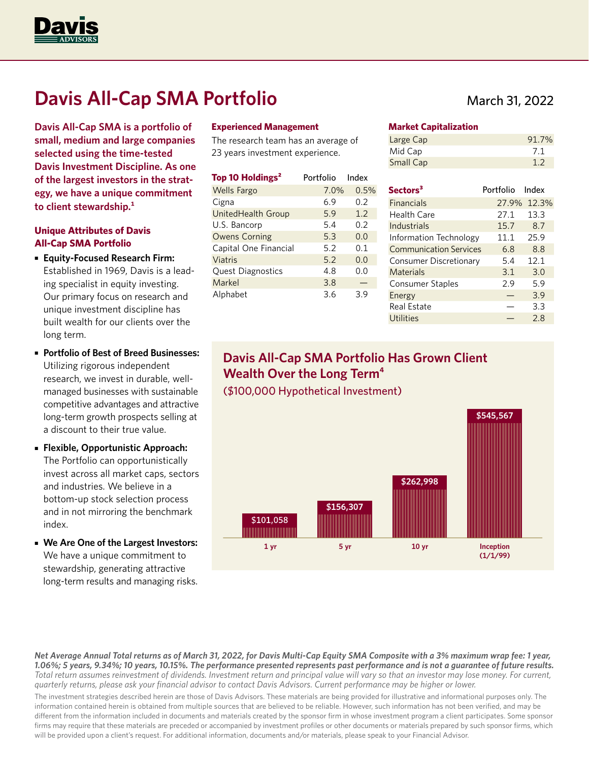

# **Davis All-Cap SMA Portfolio**

**Davis All-Cap SMA is a portfolio of small, medium and large companies selected using the time-tested Davis Investment Discipline. As one of the largest investors in the strategy, we have a unique commitment to client stewardship.1**

### **Unique Attributes of Davis All-Cap SMA Portfolio**

- **Equity-Focused Research Firm:**  Established in 1969, Davis is a leading specialist in equity investing. Our primary focus on research and unique investment discipline has built wealth for our clients over the long term.
- **Portfolio of Best of Breed Businesses:** Utilizing rigorous independent research, we invest in durable, wellmanaged businesses with sustainable competitive advantages and attractive long-term growth prospects selling at a discount to their true value.
- **Flexible, Opportunistic Approach:**  The Portfolio can opportunistically invest across all market caps, sectors and industries. We believe in a bottom-up stock selection process and in not mirroring the benchmark index.
- **We Are One of the Largest Investors:** We have a unique commitment to stewardship, generating attractive long-term results and managing risks.

#### **Experienced Management**

The research team has an average of 23 years investment experience.

| Top 10 Holdings <sup>2</sup> | Portfolio | Index |
|------------------------------|-----------|-------|
| <b>Wells Fargo</b>           | 7.0%      | 0.5%  |
| Cigna                        | 6.9       | 0.2   |
| UnitedHealth Group           | 5.9       | 1.2   |
| U.S. Bancorp                 | 5.4       | 0.2   |
| <b>Owens Corning</b>         | 5.3       | 0.0   |
| Capital One Financial        | 5.2       | 0.1   |
| Viatris                      | 5.2       | 0.0   |
| <b>Quest Diagnostics</b>     | 4.8       | 0.0   |
| Markel                       | 3.8       |       |
| Alphabet                     | 3.6       | 3.9   |

## March 31, 2022

#### **Market Capitalization**

| Large Cap | 91.7% |
|-----------|-------|
| Mid Cap   | 7.1   |
| Small Cap | 1.2   |

| Sectors <sup>3</sup>          | Portfolio Index |       |
|-------------------------------|-----------------|-------|
| <b>Financials</b>             | 27.9%           | 12.3% |
| Health Care                   | 27.1            | 13.3  |
| Industrials                   | 15.7            | 8.7   |
| Information Technology        | 11.1            | 25.9  |
| <b>Communication Services</b> | 6.8             | 8.8   |
| Consumer Discretionary        | 5.4             | 12.1  |
| Materials                     | 3.1             | 3.0   |
| Consumer Staples              | 2.9             | 5.9   |
| Energy                        |                 | 3.9   |
| Real Estate                   |                 | 3.3   |
| Utilities                     |                 | 28    |

## **Davis All-Cap SMA Portfolio Has Grown Client Wealth Over the Long Term4** (\$100,000 Hypothetical Investment)



*Net Average Annual Total returns as of March 31, 2022, for Davis Multi-Cap Equity SMA Composite with a 3% maximum wrap fee: 1 year, 1.06%; 5 years, 9.34%; 10 years, 10.15%. The performance presented represents past performance and is not a guarantee of future results. Total return assumes reinvestment of dividends. Investment return and principal value will vary so that an investor may lose money. For current, quarterly returns, please ask your financial advisor to contact Davis Advisors. Current performance may be higher or lower.*

The investment strategies described herein are those of Davis Advisors. These materials are being provided for illustrative and informational purposes only. The information contained herein is obtained from multiple sources that are believed to be reliable. However, such information has not been verified, and may be different from the information included in documents and materials created by the sponsor firm in whose investment program a client participates. Some sponsor firms may require that these materials are preceded or accompanied by investment profiles or other documents or materials prepared by such sponsor firms, which will be provided upon a client's request. For additional information, documents and/or materials, please speak to your Financial Advisor.